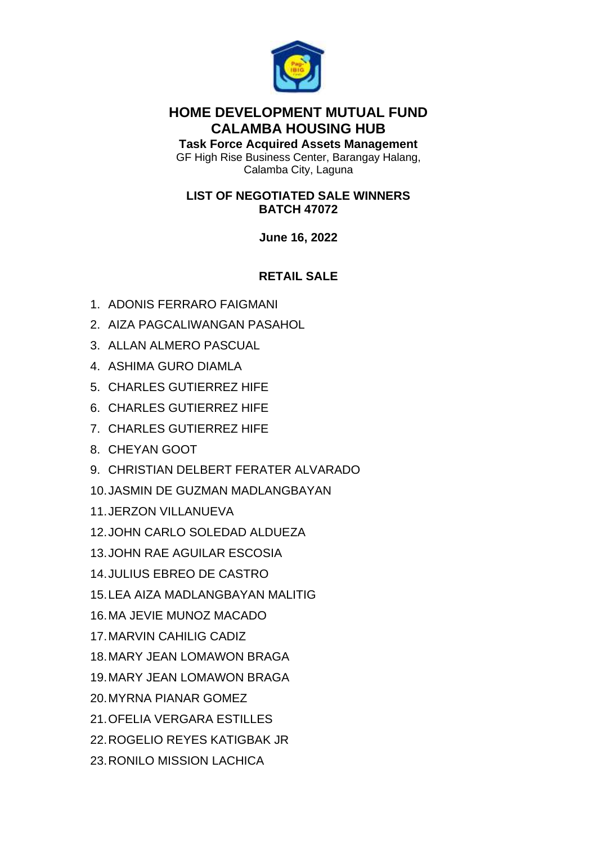

## **HOME DEVELOPMENT MUTUAL FUND CALAMBA HOUSING HUB**

**Task Force Acquired Assets Management** GF High Rise Business Center, Barangay Halang, Calamba City, Laguna

#### **LIST OF NEGOTIATED SALE WINNERS BATCH 47072**

**June 16, 2022**

# **RETAIL SALE**

- 1. ADONIS FERRARO FAIGMANI
- 2. AIZA PAGCALIWANGAN PASAHOL
- 3. ALLAN ALMERO PASCUAL
- 4. ASHIMA GURO DIAMLA
- 5. CHARLES GUTIERREZ HIFE
- 6. CHARLES GUTIERREZ HIFE
- 7. CHARLES GUTIERREZ HIFE
- 8. CHEYAN GOOT
- 9. CHRISTIAN DELBERT FERATER ALVARADO
- 10.JASMIN DE GUZMAN MADLANGBAYAN
- 11.JERZON VILLANUEVA
- 12.JOHN CARLO SOLEDAD ALDUEZA
- 13.JOHN RAE AGUILAR ESCOSIA
- 14.JULIUS EBREO DE CASTRO
- 15.LEA AIZA MADLANGBAYAN MALITIG
- 16.MA JEVIE MUNOZ MACADO
- 17.MARVIN CAHILIG CADIZ
- 18.MARY JEAN LOMAWON BRAGA
- 19.MARY JEAN LOMAWON BRAGA
- 20.MYRNA PIANAR GOMEZ
- 21.OFELIA VERGARA ESTILLES
- 22.ROGELIO REYES KATIGBAK JR
- 23.RONILO MISSION LACHICA